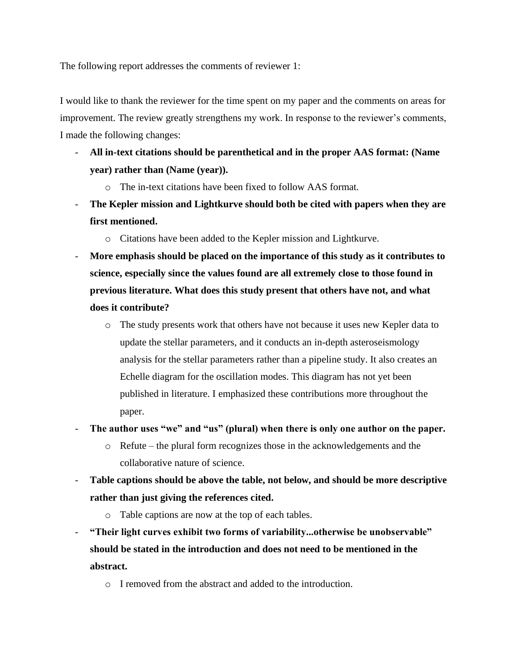The following report addresses the comments of reviewer 1:

I would like to thank the reviewer for the time spent on my paper and the comments on areas for improvement. The review greatly strengthens my work. In response to the reviewer's comments, I made the following changes:

- **All in-text citations should be parenthetical and in the proper AAS format: (Name year) rather than (Name (year)).** 
	- o The in-text citations have been fixed to follow AAS format.
- **The Kepler mission and Lightkurve should both be cited with papers when they are first mentioned.** 
	- o Citations have been added to the Kepler mission and Lightkurve.
- More emphasis should be placed on the importance of this study as it contributes to **science, especially since the values found are all extremely close to those found in previous literature. What does this study present that others have not, and what does it contribute?** 
	- o The study presents work that others have not because it uses new Kepler data to update the stellar parameters, and it conducts an in-depth asteroseismology analysis for the stellar parameters rather than a pipeline study. It also creates an Echelle diagram for the oscillation modes. This diagram has not yet been published in literature. I emphasized these contributions more throughout the paper.
- **The author uses "we" and "us" (plural) when there is only one author on the paper.**
	- $\circ$  Refute the plural form recognizes those in the acknowledgements and the collaborative nature of science.
- **Table captions should be above the table, not below, and should be more descriptive rather than just giving the references cited.** 
	- o Table captions are now at the top of each tables.
- **"Their light curves exhibit two forms of variability...otherwise be unobservable" should be stated in the introduction and does not need to be mentioned in the abstract.** 
	- o I removed from the abstract and added to the introduction.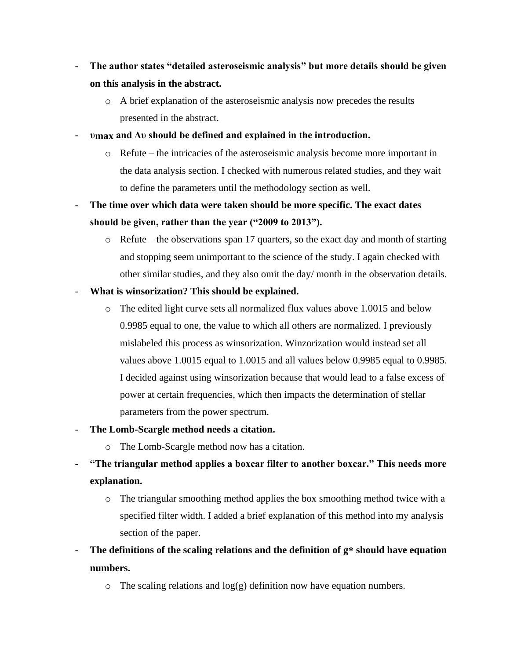- **The author states "detailed asteroseismic analysis" but more details should be given on this analysis in the abstract.** 
	- o A brief explanation of the asteroseismic analysis now precedes the results presented in the abstract.
- **υmax and Δυ should be defined and explained in the introduction.** 
	- o Refute the intricacies of the asteroseismic analysis become more important in the data analysis section. I checked with numerous related studies, and they wait to define the parameters until the methodology section as well.
- **The time over which data were taken should be more specific. The exact dates should be given, rather than the year ("2009 to 2013").**
	- o Refute the observations span 17 quarters, so the exact day and month of starting and stopping seem unimportant to the science of the study. I again checked with other similar studies, and they also omit the day/ month in the observation details.
- **What is winsorization? This should be explained.** 
	- o The edited light curve sets all normalized flux values above 1.0015 and below 0.9985 equal to one, the value to which all others are normalized. I previously mislabeled this process as winsorization. Winzorization would instead set all values above 1.0015 equal to 1.0015 and all values below 0.9985 equal to 0.9985. I decided against using winsorization because that would lead to a false excess of power at certain frequencies, which then impacts the determination of stellar parameters from the power spectrum.
- **The Lomb-Scargle method needs a citation.** 
	- o The Lomb-Scargle method now has a citation.
- **"The triangular method applies a boxcar filter to another boxcar." This needs more explanation.** 
	- o The triangular smoothing method applies the box smoothing method twice with a specified filter width. I added a brief explanation of this method into my analysis section of the paper.
- The definitions of the scaling relations and the definition of  $g^*$  should have equation **numbers.** 
	- $\circ$  The scaling relations and log(g) definition now have equation numbers.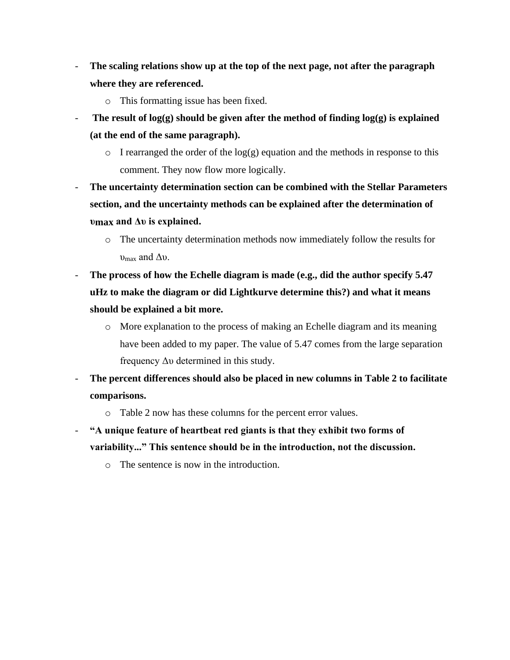- **The scaling relations show up at the top of the next page, not after the paragraph where they are referenced.** 
	- o This formatting issue has been fixed.
- The result of log(g) should be given after the method of finding log(g) is explained **(at the end of the same paragraph).** 
	- $\circ$  I rearranged the order of the log(g) equation and the methods in response to this comment. They now flow more logically.
- **The uncertainty determination section can be combined with the Stellar Parameters section, and the uncertainty methods can be explained after the determination of υmax and Δυ is explained.** 
	- o The uncertainty determination methods now immediately follow the results for  $v_{\text{max}}$  and  $\Delta v$ .
- The process of how the Echelle diagram is made (e.g., did the author specify 5.47 **uHz to make the diagram or did Lightkurve determine this?) and what it means should be explained a bit more.**
	- o More explanation to the process of making an Echelle diagram and its meaning have been added to my paper. The value of 5.47 comes from the large separation frequency Δυ determined in this study.
- **The percent differences should also be placed in new columns in Table 2 to facilitate comparisons.** 
	- o Table 2 now has these columns for the percent error values.
- **"A unique feature of heartbeat red giants is that they exhibit two forms of variability..." This sentence should be in the introduction, not the discussion.**
	- o The sentence is now in the introduction.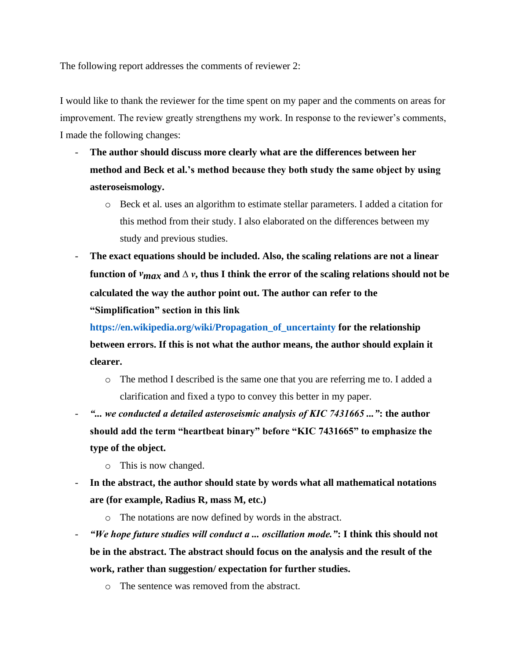The following report addresses the comments of reviewer 2:

I would like to thank the reviewer for the time spent on my paper and the comments on areas for improvement. The review greatly strengthens my work. In response to the reviewer's comments, I made the following changes:

- **The author should discuss more clearly what are the differences between her method and Beck et al.'s method because they both study the same object by using asteroseismology.** 
	- o Beck et al. uses an algorithm to estimate stellar parameters. I added a citation for this method from their study. I also elaborated on the differences between my study and previous studies.
- **The exact equations should be included. Also, the scaling relations are not a linear**  function of  $v_{max}$  and  $\Delta v$ , thus I think the error of the scaling relations should not be **calculated the way the author point out. The author can refer to the "Simplification" section in this link**

**https://en.wikipedia.org/wiki/Propagation\_of\_uncertainty for the relationship between errors. If this is not what the author means, the author should explain it clearer.**

- o The method I described is the same one that you are referring me to. I added a clarification and fixed a typo to convey this better in my paper.
- *"... we conducted a detailed asteroseismic analysis of KIC 7431665 ..."***: the author should add the term "heartbeat binary" before "KIC 7431665" to emphasize the type of the object.** 
	- o This is now changed.
- **In the abstract, the author should state by words what all mathematical notations are (for example, Radius R, mass M, etc.)** 
	- o The notations are now defined by words in the abstract.
- *"We hope future studies will conduct a ... oscillation mode."***: I think this should not be in the abstract. The abstract should focus on the analysis and the result of the work, rather than suggestion/ expectation for further studies.**
	- o The sentence was removed from the abstract.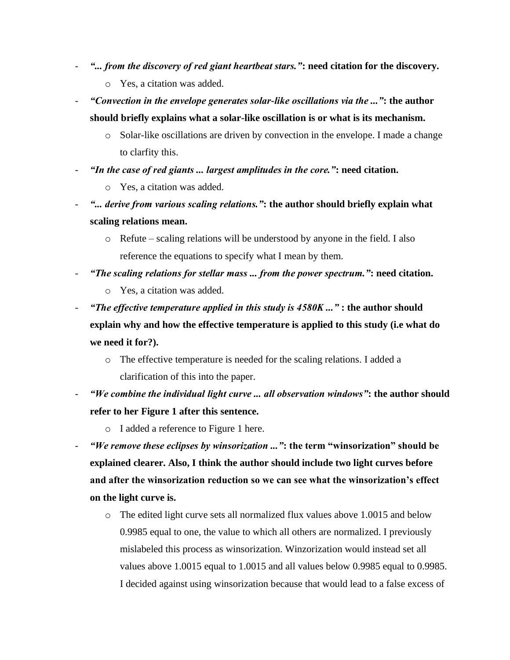- *"... from the discovery of red giant heartbeat stars."***: need citation for the discovery.**
	- o Yes, a citation was added.
- *"Convection in the envelope generates solar-like oscillations via the ..."***: the author should briefly explains what a solar-like oscillation is or what is its mechanism.**
	- o Solar-like oscillations are driven by convection in the envelope. I made a change to clarfity this.
- *"In the case of red giants ... largest amplitudes in the core."***: need citation.** 
	- o Yes, a citation was added.
- *"... derive from various scaling relations."***: the author should briefly explain what scaling relations mean.** 
	- o Refute scaling relations will be understood by anyone in the field. I also reference the equations to specify what I mean by them.
- *"The scaling relations for stellar mass ... from the power spectrum."***: need citation.**
	- o Yes, a citation was added.
- *"The effective temperature applied in this study is 4580K ..."* **: the author should explain why and how the effective temperature is applied to this study (i.e what do we need it for?).** 
	- o The effective temperature is needed for the scaling relations. I added a clarification of this into the paper.
- *"We combine the individual light curve ... all observation windows"***: the author should refer to her Figure 1 after this sentence.** 
	- o I added a reference to Figure 1 here.
- *"We remove these eclipses by winsorization ..."***: the term "winsorization" should be explained clearer. Also, I think the author should include two light curves before and after the winsorization reduction so we can see what the winsorization's effect on the light curve is.** 
	- o The edited light curve sets all normalized flux values above 1.0015 and below 0.9985 equal to one, the value to which all others are normalized. I previously mislabeled this process as winsorization. Winzorization would instead set all values above 1.0015 equal to 1.0015 and all values below 0.9985 equal to 0.9985. I decided against using winsorization because that would lead to a false excess of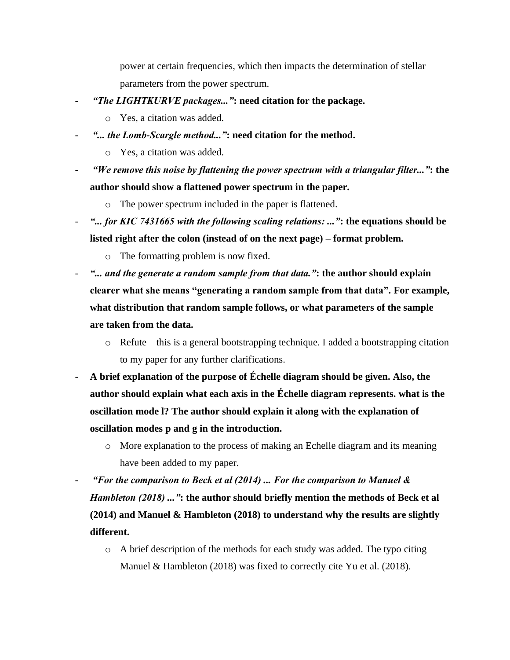power at certain frequencies, which then impacts the determination of stellar parameters from the power spectrum.

- *"The LIGHTKURVE packages..."***: need citation for the package.** 
	- o Yes, a citation was added.
- *"... the Lomb-Scargle method..."***: need citation for the method.** 
	- o Yes, a citation was added.
- *"We remove this noise by flattening the power spectrum with a triangular filter..."***: the author should show a flattened power spectrum in the paper.** 
	- o The power spectrum included in the paper is flattened.
- *"... for KIC 7431665 with the following scaling relations: ..."***: the equations should be listed right after the colon (instead of on the next page) – format problem.** 
	- o The formatting problem is now fixed.
- *"... and the generate a random sample from that data."***: the author should explain clearer what she means "generating a random sample from that data". For example, what distribution that random sample follows, or what parameters of the sample are taken from the data.** 
	- o Refute this is a general bootstrapping technique. I added a bootstrapping citation to my paper for any further clarifications.
- **A brief explanation of the purpose of Échelle diagram should be given. Also, the author should explain what each axis in the Échelle diagram represents. what is the oscillation mode l? The author should explain it along with the explanation of oscillation modes p and g in the introduction.**
	- o More explanation to the process of making an Echelle diagram and its meaning have been added to my paper.
- *"For the comparison to Beck et al (2014) ... For the comparison to Manuel & Hambleton (2018) ..."***: the author should briefly mention the methods of Beck et al (2014) and Manuel & Hambleton (2018) to understand why the results are slightly different.** 
	- o A brief description of the methods for each study was added. The typo citing Manuel & Hambleton (2018) was fixed to correctly cite Yu et al. (2018).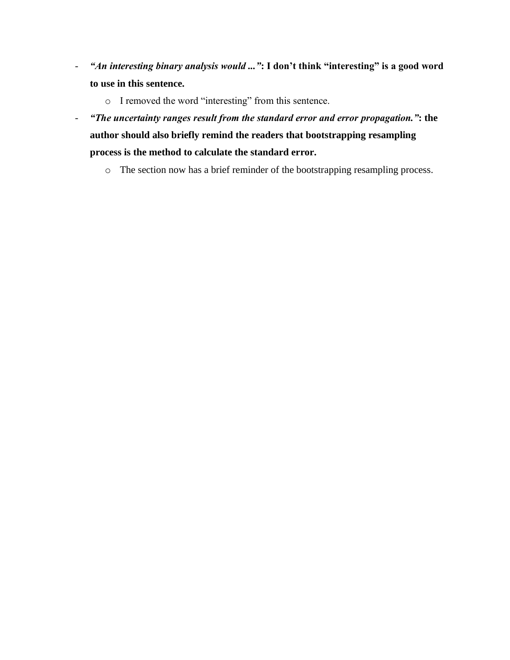- *"An interesting binary analysis would ..."***: I don't think "interesting" is a good word to use in this sentence.** 
	- o I removed the word "interesting" from this sentence.
- *"The uncertainty ranges result from the standard error and error propagation."***: the author should also briefly remind the readers that bootstrapping resampling process is the method to calculate the standard error.** 
	- o The section now has a brief reminder of the bootstrapping resampling process.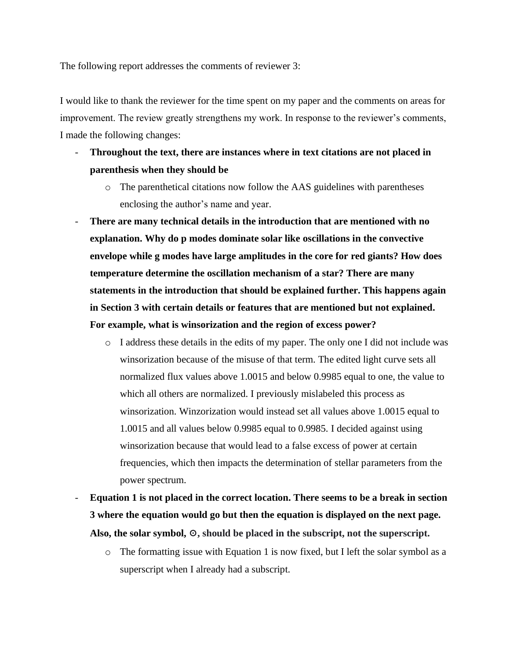The following report addresses the comments of reviewer 3:

I would like to thank the reviewer for the time spent on my paper and the comments on areas for improvement. The review greatly strengthens my work. In response to the reviewer's comments, I made the following changes:

- **Throughout the text, there are instances where in text citations are not placed in parenthesis when they should be** 
	- o The parenthetical citations now follow the AAS guidelines with parentheses enclosing the author's name and year.
- **There are many technical details in the introduction that are mentioned with no explanation. Why do p modes dominate solar like oscillations in the convective envelope while g modes have large amplitudes in the core for red giants? How does temperature determine the oscillation mechanism of a star? There are many statements in the introduction that should be explained further. This happens again in Section 3 with certain details or features that are mentioned but not explained. For example, what is winsorization and the region of excess power?** 
	- $\circ$  I address these details in the edits of my paper. The only one I did not include was winsorization because of the misuse of that term. The edited light curve sets all normalized flux values above 1.0015 and below 0.9985 equal to one, the value to which all others are normalized. I previously mislabeled this process as winsorization. Winzorization would instead set all values above 1.0015 equal to 1.0015 and all values below 0.9985 equal to 0.9985. I decided against using winsorization because that would lead to a false excess of power at certain frequencies, which then impacts the determination of stellar parameters from the power spectrum.
- **Equation 1 is not placed in the correct location. There seems to be a break in section 3 where the equation would go but then the equation is displayed on the next page. Also, the solar symbol,** ☉**, should be placed in the subscript, not the superscript.** 
	- $\circ$  The formatting issue with Equation 1 is now fixed, but I left the solar symbol as a superscript when I already had a subscript.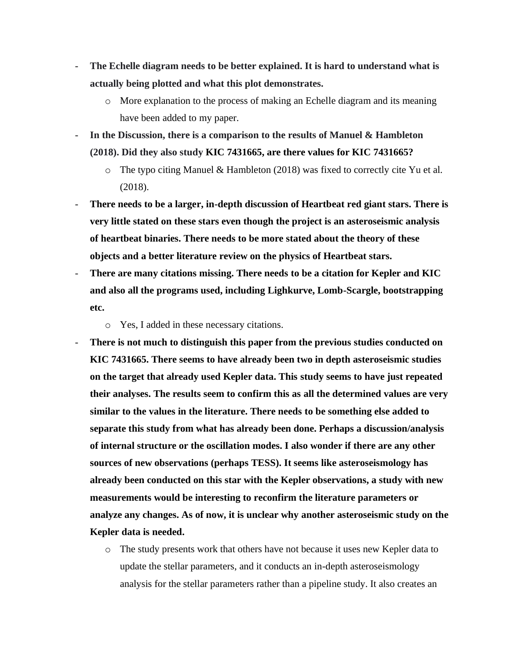- The Echelle diagram needs to be better explained. It is hard to understand what is **actually being plotted and what this plot demonstrates.** 
	- o More explanation to the process of making an Echelle diagram and its meaning have been added to my paper.
- **In the Discussion, there is a comparison to the results of Manuel & Hambleton (2018). Did they also study KIC 7431665, are there values for KIC 7431665?** 
	- $\circ$  The typo citing Manuel & Hambleton (2018) was fixed to correctly cite Yu et al. (2018).
- **There needs to be a larger, in-depth discussion of Heartbeat red giant stars. There is very little stated on these stars even though the project is an asteroseismic analysis of heartbeat binaries. There needs to be more stated about the theory of these objects and a better literature review on the physics of Heartbeat stars.**
- **There are many citations missing. There needs to be a citation for Kepler and KIC and also all the programs used, including Lighkurve, Lomb-Scargle, bootstrapping etc.**
	- o Yes, I added in these necessary citations.
- There is not much to distinguish this paper from the previous studies conducted on **KIC 7431665. There seems to have already been two in depth asteroseismic studies on the target that already used Kepler data. This study seems to have just repeated their analyses. The results seem to confirm this as all the determined values are very similar to the values in the literature. There needs to be something else added to separate this study from what has already been done. Perhaps a discussion/analysis of internal structure or the oscillation modes. I also wonder if there are any other sources of new observations (perhaps TESS). It seems like asteroseismology has already been conducted on this star with the Kepler observations, a study with new measurements would be interesting to reconfirm the literature parameters or analyze any changes. As of now, it is unclear why another asteroseismic study on the Kepler data is needed.** 
	- o The study presents work that others have not because it uses new Kepler data to update the stellar parameters, and it conducts an in-depth asteroseismology analysis for the stellar parameters rather than a pipeline study. It also creates an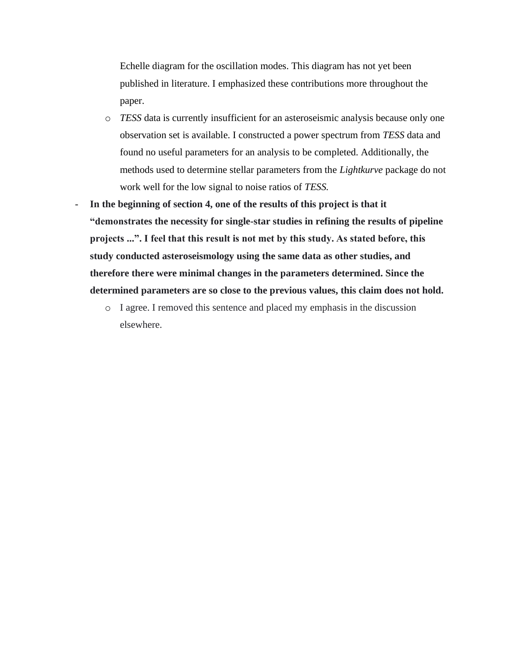Echelle diagram for the oscillation modes. This diagram has not yet been published in literature. I emphasized these contributions more throughout the paper.

- o *TESS* data is currently insufficient for an asteroseismic analysis because only one observation set is available. I constructed a power spectrum from *TESS* data and found no useful parameters for an analysis to be completed. Additionally, the methods used to determine stellar parameters from the *Lightkurve* package do not work well for the low signal to noise ratios of *TESS.*
- **In the beginning of section 4, one of the results of this project is that it "demonstrates the necessity for single-star studies in refining the results of pipeline projects ...". I feel that this result is not met by this study. As stated before, this study conducted asteroseismology using the same data as other studies, and therefore there were minimal changes in the parameters determined. Since the determined parameters are so close to the previous values, this claim does not hold.** 
	- o I agree. I removed this sentence and placed my emphasis in the discussion elsewhere.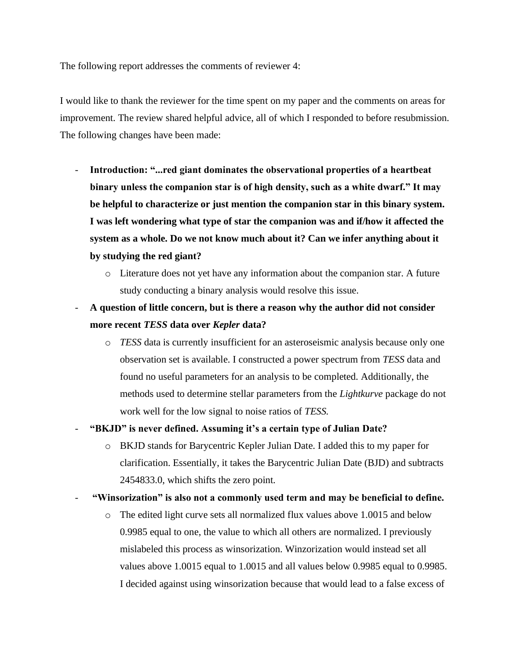The following report addresses the comments of reviewer 4:

I would like to thank the reviewer for the time spent on my paper and the comments on areas for improvement. The review shared helpful advice, all of which I responded to before resubmission. The following changes have been made:

- **Introduction: "...red giant dominates the observational properties of a heartbeat binary unless the companion star is of high density, such as a white dwarf." It may be helpful to characterize or just mention the companion star in this binary system. I was left wondering what type of star the companion was and if/how it affected the system as a whole. Do we not know much about it? Can we infer anything about it by studying the red giant?** 
	- $\circ$  Literature does not yet have any information about the companion star. A future study conducting a binary analysis would resolve this issue.
- **A question of little concern, but is there a reason why the author did not consider more recent** *TESS* **data over** *Kepler* **data?**
	- o *TESS* data is currently insufficient for an asteroseismic analysis because only one observation set is available. I constructed a power spectrum from *TESS* data and found no useful parameters for an analysis to be completed. Additionally, the methods used to determine stellar parameters from the *Lightkurve* package do not work well for the low signal to noise ratios of *TESS.*

## - **"BKJD" is never defined. Assuming it's a certain type of Julian Date?**

- o BKJD stands for Barycentric Kepler Julian Date. I added this to my paper for clarification. Essentially, it takes the Barycentric Julian Date (BJD) and subtracts 2454833.0, which shifts the zero point.
- **"Winsorization" is also not a commonly used term and may be beneficial to define.**
	- o The edited light curve sets all normalized flux values above 1.0015 and below 0.9985 equal to one, the value to which all others are normalized. I previously mislabeled this process as winsorization. Winzorization would instead set all values above 1.0015 equal to 1.0015 and all values below 0.9985 equal to 0.9985. I decided against using winsorization because that would lead to a false excess of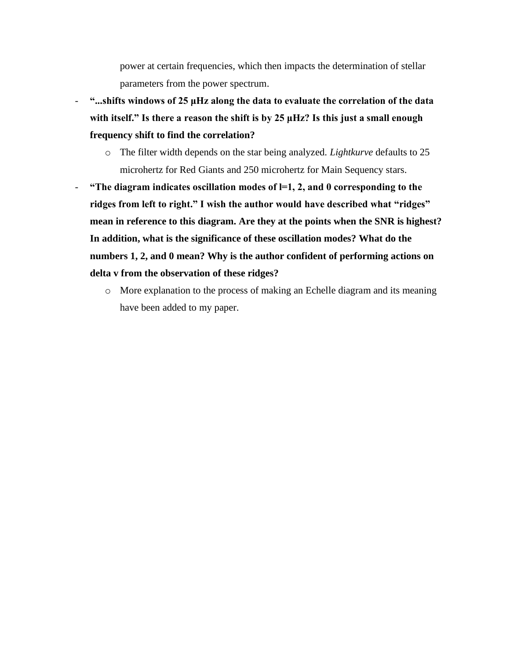power at certain frequencies, which then impacts the determination of stellar parameters from the power spectrum.

- **"...shifts windows of 25 μHz along the data to evaluate the correlation of the data with itself." Is there a reason the shift is by 25 μHz? Is this just a small enough frequency shift to find the correlation?** 
	- o The filter width depends on the star being analyzed. *Lightkurve* defaults to 25 microhertz for Red Giants and 250 microhertz for Main Sequency stars.
- **"The diagram indicates oscillation modes of l=1, 2, and 0 corresponding to the ridges from left to right." I wish the author would have described what "ridges" mean in reference to this diagram. Are they at the points when the SNR is highest? In addition, what is the significance of these oscillation modes? What do the numbers 1, 2, and 0 mean? Why is the author confident of performing actions on delta v from the observation of these ridges?** 
	- o More explanation to the process of making an Echelle diagram and its meaning have been added to my paper.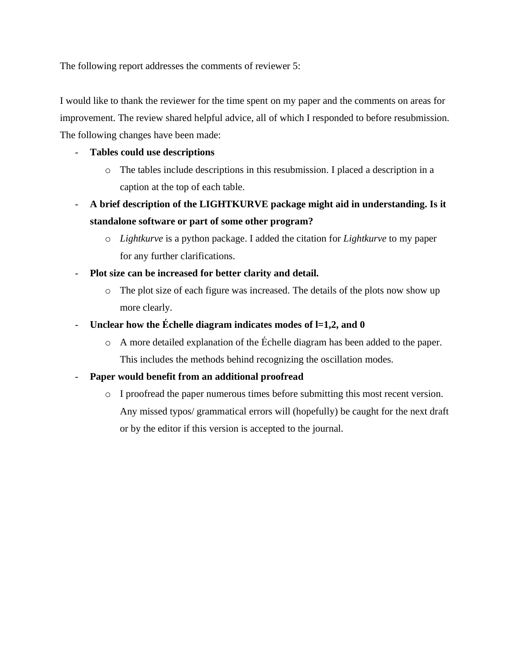The following report addresses the comments of reviewer 5:

I would like to thank the reviewer for the time spent on my paper and the comments on areas for improvement. The review shared helpful advice, all of which I responded to before resubmission. The following changes have been made:

## - **Tables could use descriptions**

- o The tables include descriptions in this resubmission. I placed a description in a caption at the top of each table.
- **A brief description of the LIGHTKURVE package might aid in understanding. Is it standalone software or part of some other program?** 
	- o *Lightkurve* is a python package. I added the citation for *Lightkurve* to my paper for any further clarifications.
- **Plot size can be increased for better clarity and detail.** 
	- o The plot size of each figure was increased. The details of the plots now show up more clearly.
- Unclear how the Échelle diagram indicates modes of  $l=1,2$ , and 0
	- o A more detailed explanation of the Échelle diagram has been added to the paper. This includes the methods behind recognizing the oscillation modes.
- **Paper would benefit from an additional proofread** 
	- o I proofread the paper numerous times before submitting this most recent version. Any missed typos/ grammatical errors will (hopefully) be caught for the next draft or by the editor if this version is accepted to the journal.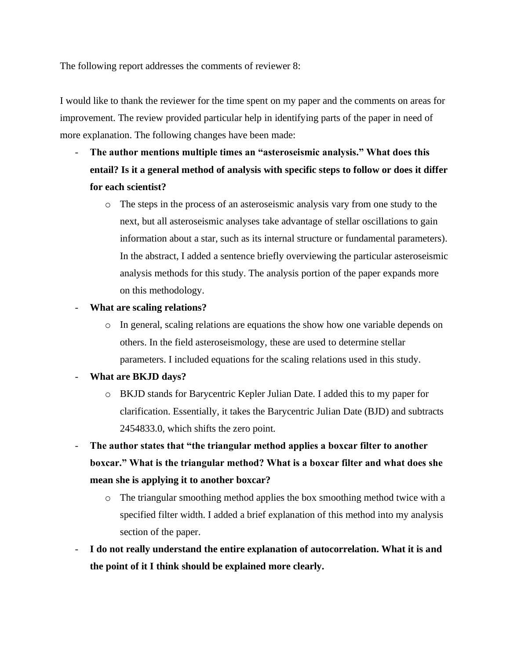The following report addresses the comments of reviewer 8:

I would like to thank the reviewer for the time spent on my paper and the comments on areas for improvement. The review provided particular help in identifying parts of the paper in need of more explanation. The following changes have been made:

- **The author mentions multiple times an "asteroseismic analysis." What does this entail? Is it a general method of analysis with specific steps to follow or does it differ for each scientist?**
	- o The steps in the process of an asteroseismic analysis vary from one study to the next, but all asteroseismic analyses take advantage of stellar oscillations to gain information about a star, such as its internal structure or fundamental parameters). In the abstract, I added a sentence briefly overviewing the particular asteroseismic analysis methods for this study. The analysis portion of the paper expands more on this methodology.
- **What are scaling relations?**
	- o In general, scaling relations are equations the show how one variable depends on others. In the field asteroseismology, these are used to determine stellar parameters. I included equations for the scaling relations used in this study.
- **What are BKJD days?**
	- o BKJD stands for Barycentric Kepler Julian Date. I added this to my paper for clarification. Essentially, it takes the Barycentric Julian Date (BJD) and subtracts 2454833.0, which shifts the zero point.
- **The author states that "the triangular method applies a boxcar filter to another boxcar." What is the triangular method? What is a boxcar filter and what does she mean she is applying it to another boxcar?**
	- o The triangular smoothing method applies the box smoothing method twice with a specified filter width. I added a brief explanation of this method into my analysis section of the paper.
- **I do not really understand the entire explanation of autocorrelation. What it is and the point of it I think should be explained more clearly.**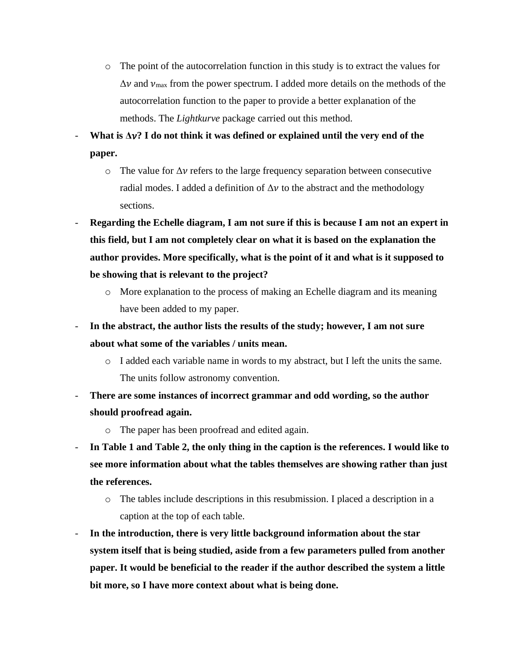o The point of the autocorrelation function in this study is to extract the values for  $\Delta v$  and  $v_{\text{max}}$  from the power spectrum. I added more details on the methods of the autocorrelation function to the paper to provide a better explanation of the methods. The *Lightkurve* package carried out this method.

- **What is Δ? I do not think it was defined or explained until the very end of the paper.**

- $\circ$  The value for  $\Delta v$  refers to the large frequency separation between consecutive radial modes. I added a definition of  $\Delta v$  to the abstract and the methodology sections.
- **Regarding the Echelle diagram, I am not sure if this is because I am not an expert in this field, but I am not completely clear on what it is based on the explanation the author provides. More specifically, what is the point of it and what is it supposed to be showing that is relevant to the project?**
	- o More explanation to the process of making an Echelle diagram and its meaning have been added to my paper.
- In the abstract, the author lists the results of the study; however, I am not sure **about what some of the variables / units mean.**
	- o I added each variable name in words to my abstract, but I left the units the same. The units follow astronomy convention.
- **There are some instances of incorrect grammar and odd wording, so the author should proofread again.**
	- o The paper has been proofread and edited again.
- **In Table 1 and Table 2, the only thing in the caption is the references. I would like to see more information about what the tables themselves are showing rather than just the references.** 
	- o The tables include descriptions in this resubmission. I placed a description in a caption at the top of each table.
- **In the introduction, there is very little background information about the star system itself that is being studied, aside from a few parameters pulled from another paper. It would be beneficial to the reader if the author described the system a little bit more, so I have more context about what is being done.**